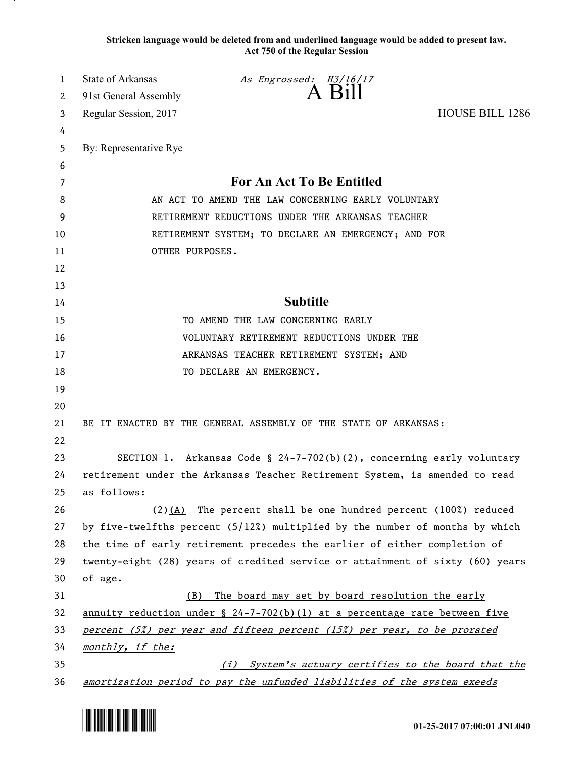**Stricken language would be deleted from and underlined language would be added to present law. Act 750 of the Regular Session**

| 1  | <b>State of Arkansas</b> | As Engrossed: H3/16/17<br>A Bill                                                     |                        |
|----|--------------------------|--------------------------------------------------------------------------------------|------------------------|
| 2  | 91st General Assembly    |                                                                                      |                        |
| 3  | Regular Session, 2017    |                                                                                      | <b>HOUSE BILL 1286</b> |
| 4  |                          |                                                                                      |                        |
| 5  | By: Representative Rye   |                                                                                      |                        |
| 6  |                          |                                                                                      |                        |
| 7  |                          | For An Act To Be Entitled                                                            |                        |
| 8  |                          | AN ACT TO AMEND THE LAW CONCERNING EARLY VOLUNTARY                                   |                        |
| 9  |                          | RETIREMENT REDUCTIONS UNDER THE ARKANSAS TEACHER                                     |                        |
| 10 |                          | RETIREMENT SYSTEM; TO DECLARE AN EMERGENCY; AND FOR                                  |                        |
| 11 | OTHER PURPOSES.          |                                                                                      |                        |
| 12 |                          |                                                                                      |                        |
| 13 |                          |                                                                                      |                        |
| 14 |                          | <b>Subtitle</b>                                                                      |                        |
| 15 |                          | TO AMEND THE LAW CONCERNING EARLY                                                    |                        |
| 16 |                          | VOLUNTARY RETIREMENT REDUCTIONS UNDER THE                                            |                        |
| 17 |                          | ARKANSAS TEACHER RETIREMENT SYSTEM; AND                                              |                        |
| 18 |                          | TO DECLARE AN EMERGENCY.                                                             |                        |
| 19 |                          |                                                                                      |                        |
| 20 |                          |                                                                                      |                        |
| 21 |                          | BE IT ENACTED BY THE GENERAL ASSEMBLY OF THE STATE OF ARKANSAS:                      |                        |
| 22 |                          |                                                                                      |                        |
| 23 |                          | SECTION 1. Arkansas Code § $24-7-702(b)(2)$ , concerning early voluntary             |                        |
| 24 |                          | retirement under the Arkansas Teacher Retirement System, is amended to read          |                        |
| 25 | as follows:              |                                                                                      |                        |
| 26 |                          | $(2)$ (A) The percent shall be one hundred percent (100%) reduced                    |                        |
| 27 |                          | by five-twelfths percent (5/12%) multiplied by the number of months by which         |                        |
| 28 |                          | the time of early retirement precedes the earlier of either completion of            |                        |
| 29 |                          | twenty-eight (28) years of credited service or attainment of sixty (60) years        |                        |
| 30 | of age.                  |                                                                                      |                        |
| 31 | (B)                      | The board may set by board resolution the early                                      |                        |
| 32 |                          | <u>annuity</u> reduction under $\S$ 24-7-702(b)(1) at a percentage rate between five |                        |
| 33 |                          | percent (5%) per year and fifteen percent (15%) per year, to be prorated             |                        |
| 34 | monthly, if the:         |                                                                                      |                        |
| 35 |                          | (i) System's actuary certifies to the board that the                                 |                        |
| 36 |                          | amortization period to pay the unfunded liabilities of the system exeeds             |                        |

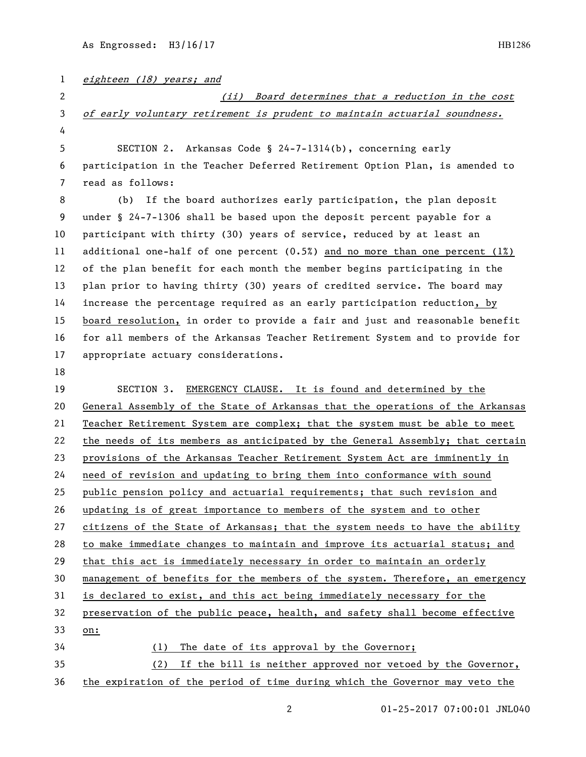| $\mathbf{1}$ | eighteen (18) years; and                                                        |  |  |
|--------------|---------------------------------------------------------------------------------|--|--|
| 2            | (ii) Board determines that a reduction in the cost                              |  |  |
| $\mathbf{3}$ | of early voluntary retirement is prudent to maintain actuarial soundness.       |  |  |
| 4            |                                                                                 |  |  |
| 5            | SECTION 2. Arkansas Code § 24-7-1314(b), concerning early                       |  |  |
| 6            | participation in the Teacher Deferred Retirement Option Plan, is amended to     |  |  |
| 7            | read as follows:                                                                |  |  |
| 8            | If the board authorizes early participation, the plan deposit<br>(b)            |  |  |
| 9            | under § 24-7-1306 shall be based upon the deposit percent payable for a         |  |  |
| 10           | participant with thirty (30) years of service, reduced by at least an           |  |  |
| 11           | additional one-half of one percent $(0.5%)$ and no more than one percent $(1%)$ |  |  |
| 12           | of the plan benefit for each month the member begins participating in the       |  |  |
| 13           | plan prior to having thirty (30) years of credited service. The board may       |  |  |
| 14           | increase the percentage required as an early participation reduction, by        |  |  |
| 15           | board resolution, in order to provide a fair and just and reasonable benefit    |  |  |
| 16           | for all members of the Arkansas Teacher Retirement System and to provide for    |  |  |
| 17           | appropriate actuary considerations.                                             |  |  |
| 18           |                                                                                 |  |  |
| 19           | SECTION 3. EMERGENCY CLAUSE. It is found and determined by the                  |  |  |
| 20           | General Assembly of the State of Arkansas that the operations of the Arkansas   |  |  |
| 21           | Teacher Retirement System are complex; that the system must be able to meet     |  |  |
| 22           | the needs of its members as anticipated by the General Assembly; that certain   |  |  |
| 23           | provisions of the Arkansas Teacher Retirement System Act are imminently in      |  |  |
| 24           | need of revision and updating to bring them into conformance with sound         |  |  |
| 25           | public pension policy and actuarial requirements; that such revision and        |  |  |
| 26           | updating is of great importance to members of the system and to other           |  |  |
| 27           | citizens of the State of Arkansas; that the system needs to have the ability    |  |  |
| 28           | to make immediate changes to maintain and improve its actuarial status; and     |  |  |
| 29           | that this act is immediately necessary in order to maintain an orderly          |  |  |
| 30           | management of benefits for the members of the system. Therefore, an emergency   |  |  |
| 31           | is declared to exist, and this act being immediately necessary for the          |  |  |
| 32           | preservation of the public peace, health, and safety shall become effective     |  |  |
| 33           | on:                                                                             |  |  |
| 34           | The date of its approval by the Governor;<br>(1)                                |  |  |
| 35           | If the bill is neither approved nor vetoed by the Governor,<br>(2)              |  |  |
| 36           | the expiration of the period of time during which the Governor may veto the     |  |  |

2 01-25-2017 07:00:01 JNL040